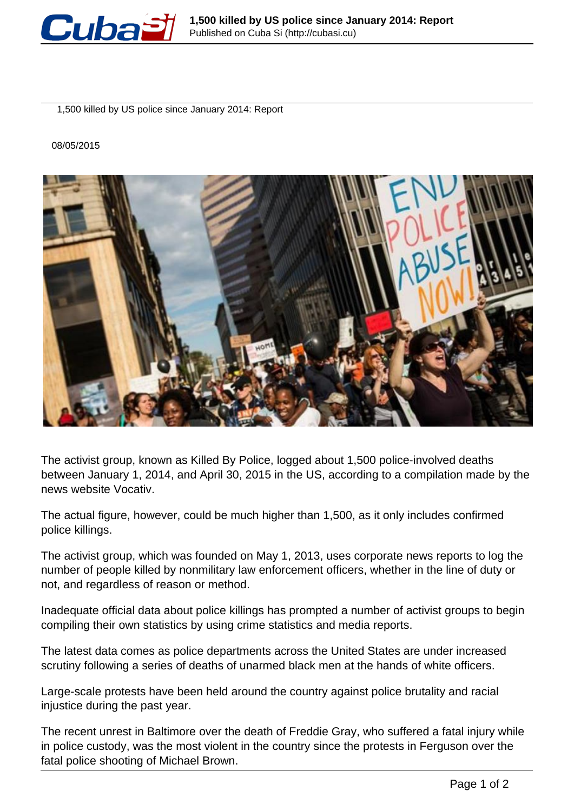

1,500 killed by US police since January 2014: Report

08/05/2015



The activist group, known as Killed By Police, logged about 1,500 police-involved deaths between January 1, 2014, and April 30, 2015 in the US, according to a compilation made by the news website Vocativ.

The actual figure, however, could be much higher than 1,500, as it only includes confirmed police killings.

The activist group, which was founded on May 1, 2013, uses corporate news reports to log the number of people killed by nonmilitary law enforcement officers, whether in the line of duty or not, and regardless of reason or method.

Inadequate official data about police killings has prompted a number of activist groups to begin compiling their own statistics by using crime statistics and media reports.

The latest data comes as police departments across the United States are under increased scrutiny following a series of deaths of unarmed black men at the hands of white officers.

Large-scale protests have been held around the country against police brutality and racial injustice during the past year.

The recent unrest in Baltimore over the death of Freddie Gray, who suffered a fatal injury while in police custody, was the most violent in the country since the protests in Ferguson over the fatal police shooting of Michael Brown.